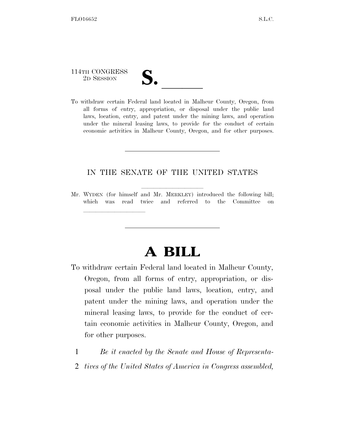# 114TH CONGRESS

lle and a second control of the second control of the second control of the second control of the second control of the second control of the second control of the second control of the second control of the second control

114TH CONGRESS<br>
2D SESSION<br>
To withdraw certain Federal land located in Malheur County, Oregon, from all forms of entry, appropriation, or disposal under the public land laws, location, entry, and patent under the mining laws, and operation under the mineral leasing laws, to provide for the conduct of certain economic activities in Malheur County, Oregon, and for other purposes.

#### IN THE SENATE OF THE UNITED STATES

Mr. WYDEN (for himself and Mr. MERKLEY) introduced the following bill; which was read twice and referred to the Committee on

## **A BILL**

- To withdraw certain Federal land located in Malheur County, Oregon, from all forms of entry, appropriation, or disposal under the public land laws, location, entry, and patent under the mining laws, and operation under the mineral leasing laws, to provide for the conduct of certain economic activities in Malheur County, Oregon, and for other purposes.
	- 1 *Be it enacted by the Senate and House of Representa-*
	- 2 *tives of the United States of America in Congress assembled,*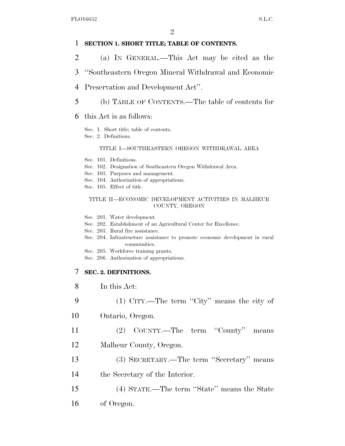#### 1 **SECTION 1. SHORT TITLE; TABLE OF CONTENTS.**

- 2 (a) IN GENERAL.—This Act may be cited as the
- 3 ''Southeastern Oregon Mineral Withdrawal and Economic
- 4 Preservation and Development Act''.
- 5 (b) TABLE OF CONTENTS.—The table of contents for
- 6 this Act is as follows:
	- Sec. 1. Short title; table of contents.
	- Sec. 2. Definitions.

#### TITLE I—SOUTHEASTERN OREGON WITHDRAWAL AREA

- Sec. 101. Definitions.
- Sec. 102. Designation of Southeastern Oregon Withdrawal Area.
- Sec. 103. Purposes and management.
- Sec. 104. Authorization of appropriations.
- Sec. 105. Effect of title.

#### TITLE II—ECONOMIC DEVELOPMENT ACTIVITIES IN MALHEUR COUNTY, OREGON

- Sec. 201. Water development.
- Sec. 202. Establishment of an Agricultural Center for Excellence.
- Sec. 203. Rural fire assistance.
- Sec. 204. Infrastructure assistance to promote economic development in rural communities.
- Sec. 205. Workforce training grants.
- Sec. 206. Authorization of appropriations.

#### 7 **SEC. 2. DEFINITIONS.**

- 8 In this Act:
- 9 (1) CITY.—The term ''City'' means the city of
- 10 Ontario, Oregon.

11 (2) COUNTY.—The term ''County'' means

- 12 Malheur County, Oregon.
- 13 (3) SECRETARY.—The term ''Secretary'' means
- 14 the Secretary of the Interior.
- 15 (4) STATE.—The term ''State'' means the State 16 of Oregon.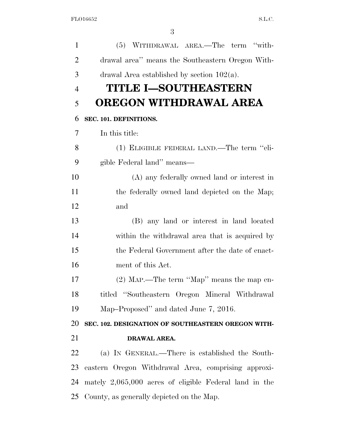| 1              | (5) WITHDRAWAL AREA.—The term "with-                     |
|----------------|----------------------------------------------------------|
| $\overline{2}$ | drawal area" means the Southeastern Oregon With-         |
| 3              | drawal Area established by section $102(a)$ .            |
| $\overline{4}$ | <b>TITLE I-SOUTHEASTERN</b>                              |
| 5              | OREGON WITHDRAWAL AREA                                   |
| 6              | SEC. 101. DEFINITIONS.                                   |
| 7              | In this title:                                           |
| 8              | (1) ELIGIBLE FEDERAL LAND.—The term "eli-                |
| 9              | gible Federal land" means—                               |
| 10             | (A) any federally owned land or interest in              |
| 11             | the federally owned land depicted on the Map;            |
| 12             | and                                                      |
| 13             | (B) any land or interest in land located                 |
| 14             | within the withdrawal area that is acquired by           |
| 15             | the Federal Government after the date of enact-          |
| 16             | ment of this Act.                                        |
| 17             | (2) MAP.—The term "Map" means the map en-                |
| 18             | titled "Southeastern Oregon Mineral Withdrawal           |
| 19             | Map-Proposed" and dated June 7, 2016.                    |
| 20             | SEC. 102. DESIGNATION OF SOUTHEASTERN OREGON WITH-       |
| 21             | DRAWAL AREA.                                             |
| 22             | (a) IN GENERAL.—There is established the South-          |
| 23             | eastern Oregon Withdrawal Area, comprising approxi-      |
| 24             | mately $2,065,000$ acres of eligible Federal land in the |
|                | 25 County, as generally depicted on the Map.             |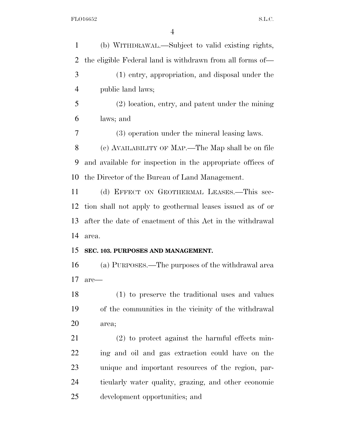| (b) WITHDRAWAL.—Subject to valid existing rights,          |
|------------------------------------------------------------|
| the eligible Federal land is withdrawn from all forms of—  |
| (1) entry, appropriation, and disposal under the           |
| public land laws;                                          |
| $(2)$ location, entry, and patent under the mining         |
| laws; and                                                  |
| (3) operation under the mineral leasing laws.              |
| (c) AVAILABILITY OF MAP.—The Map shall be on file          |
| and available for inspection in the appropriate offices of |
| the Director of the Bureau of Land Management.             |
| (d) EFFECT ON GEOTHERMAL LEASES.—This sec-                 |
| tion shall not apply to geothermal leases issued as of or  |
| after the date of enactment of this Act in the withdrawal  |
| area.                                                      |
| SEC. 103. PURPOSES AND MANAGEMENT.                         |
| (a) PURPOSES.—The purposes of the withdrawal area          |
| are-                                                       |
| (1) to preserve the traditional uses and values            |
| of the communities in the vicinity of the withdrawal       |
| area;                                                      |
| $(2)$ to protect against the harmful effects min-          |
| ing and oil and gas extraction could have on the           |
| unique and important resources of the region, par-         |
| ticularly water quality, grazing, and other economic       |
|                                                            |
|                                                            |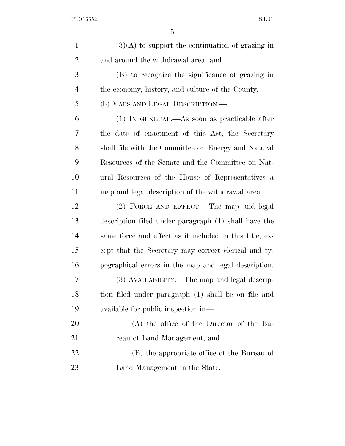| $\mathbf{1}$   | $(3)(A)$ to support the continuation of grazing in      |
|----------------|---------------------------------------------------------|
| $\overline{2}$ | and around the withdrawal area; and                     |
| 3              | (B) to recognize the significance of grazing in         |
| $\overline{4}$ | the economy, history, and culture of the County.        |
| 5              | (b) MAPS AND LEGAL DESCRIPTION.-                        |
| 6              | $(1)$ In GENERAL.—As soon as practicable after          |
| 7              | the date of enactment of this Act, the Secretary        |
| 8              | shall file with the Committee on Energy and Natural     |
| 9              | Resources of the Senate and the Committee on Nat-       |
| 10             | ural Resources of the House of Representatives a        |
| 11             | map and legal description of the withdrawal area.       |
| 12             | (2) FORCE AND EFFECT.—The map and legal                 |
| 13             | description filed under paragraph (1) shall have the    |
| 14             | same force and effect as if included in this title, ex- |
| 15             | cept that the Secretary may correct clerical and ty-    |
| 16             | pographical errors in the map and legal description.    |
| 17             | (3) AVAILABILITY.—The map and legal descrip-            |
| 18             | tion filed under paragraph (1) shall be on file and     |
| 19             | available for public inspection in—                     |
| 20             | $(A)$ the office of the Director of the Bu-             |
| 21             | reau of Land Management; and                            |
| 22             | (B) the appropriate office of the Bureau of             |
| 23             | Land Management in the State.                           |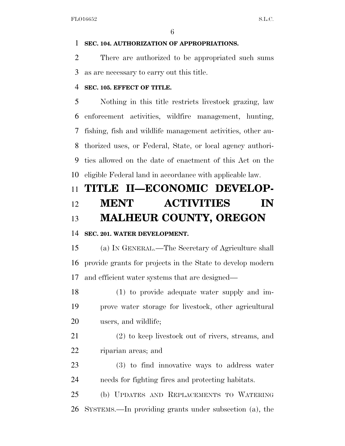#### **SEC. 104. AUTHORIZATION OF APPROPRIATIONS.**

 There are authorized to be appropriated such sums as are necessary to carry out this title.

#### **SEC. 105. EFFECT OF TITLE.**

 Nothing in this title restricts livestock grazing, law enforcement activities, wildfire management, hunting, fishing, fish and wildlife management activities, other au- thorized uses, or Federal, State, or local agency authori- ties allowed on the date of enactment of this Act on the eligible Federal land in accordance with applicable law.

### **TITLE II—ECONOMIC DEVELOP- MENT ACTIVITIES IN MALHEUR COUNTY, OREGON**

#### **SEC. 201. WATER DEVELOPMENT.**

 (a) IN GENERAL.—The Secretary of Agriculture shall provide grants for projects in the State to develop modern and efficient water systems that are designed—

 (1) to provide adequate water supply and im- prove water storage for livestock, other agricultural users, and wildlife;

 (2) to keep livestock out of rivers, streams, and riparian areas; and

 (3) to find innovative ways to address water needs for fighting fires and protecting habitats.

 (b) UPDATES AND REPLACEMENTS TO WATERING SYSTEMS.—In providing grants under subsection (a), the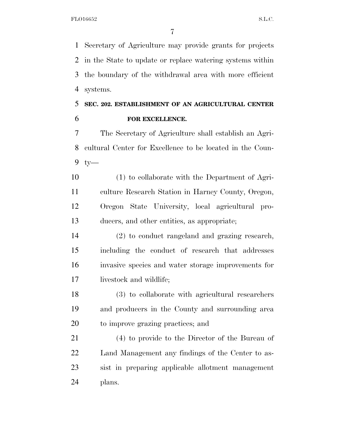Secretary of Agriculture may provide grants for projects in the State to update or replace watering systems within the boundary of the withdrawal area with more efficient systems.

### **SEC. 202. ESTABLISHMENT OF AN AGRICULTURAL CENTER FOR EXCELLENCE.**

 The Secretary of Agriculture shall establish an Agri- cultural Center for Excellence to be located in the Coun-ty—

 (1) to collaborate with the Department of Agri- culture Research Station in Harney County, Oregon, Oregon State University, local agricultural pro-ducers, and other entities, as appropriate;

 (2) to conduct rangeland and grazing research, including the conduct of research that addresses invasive species and water storage improvements for livestock and wildlife;

 (3) to collaborate with agricultural researchers and producers in the County and surrounding area to improve grazing practices; and

 (4) to provide to the Director of the Bureau of Land Management any findings of the Center to as- sist in preparing applicable allotment management plans.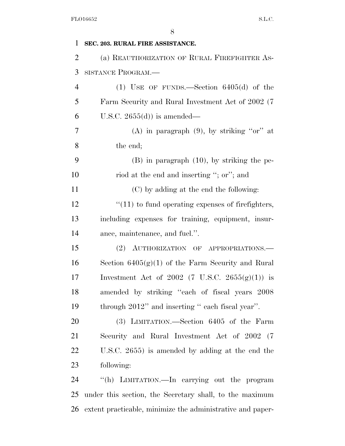| 1              | SEC. 203. RURAL FIRE ASSISTANCE.                        |
|----------------|---------------------------------------------------------|
| $\overline{2}$ | (a) REAUTHORIZATION OF RURAL FIREFIGHTER AS-            |
| 3              | SISTANCE PROGRAM.-                                      |
| $\overline{4}$ | (1) USE OF FUNDS.—Section $6405(d)$ of the              |
| 5              | Farm Security and Rural Investment Act of 2002 (7       |
| 6              | U.S.C. $2655(d)$ is amended—                            |
| 7              | (A) in paragraph $(9)$ , by striking "or" at            |
| 8              | the end;                                                |
| 9              | $(B)$ in paragraph $(10)$ , by striking the pe-         |
| 10             | riod at the end and inserting "; or"; and               |
| 11             | (C) by adding at the end the following:                 |
| 12             | $"(11)$ to fund operating expenses of firefighters,     |
| 13             | including expenses for training, equipment, insur-      |
| 14             | ance, maintenance, and fuel.".                          |
| 15             | (2) AUTHORIZATION OF APPROPRIATIONS.                    |
| 16             | Section $6405(g)(1)$ of the Farm Security and Rural     |
| 17             | Investment Act of 2002 (7 U.S.C. 2655 $(g)(1)$ ) is     |
| 18             | amended by striking "each of fiscal years 2008          |
| 19             | through 2012" and inserting "each fiscal year".         |
| 20             | (3) LIMITATION.—Section 6405 of the Farm                |
| 21             | Security and Rural Investment Act of 2002 (7            |
| 22             | U.S.C. 2655) is amended by adding at the end the        |
| 23             | following:                                              |
| 24             | "(h) LIMITATION.—In carrying out the program            |
| 25             | under this section, the Secretary shall, to the maximum |
|                |                                                         |

extent practicable, minimize the administrative and paper-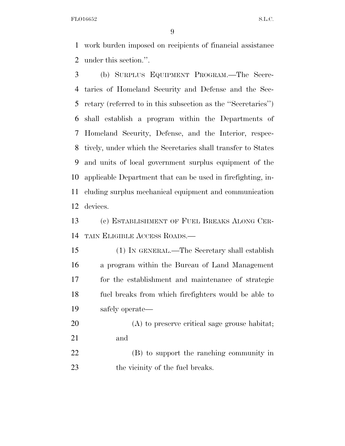work burden imposed on recipients of financial assistance under this section.''.

 (b) SURPLUS EQUIPMENT PROGRAM.—The Secre- taries of Homeland Security and Defense and the Sec- retary (referred to in this subsection as the ''Secretaries'') shall establish a program within the Departments of Homeland Security, Defense, and the Interior, respec- tively, under which the Secretaries shall transfer to States and units of local government surplus equipment of the applicable Department that can be used in firefighting, in- cluding surplus mechanical equipment and communication devices.

 (c) ESTABLISHMENT OF FUEL BREAKS ALONG CER-TAIN ELIGIBLE ACCESS ROADS.—

 (1) IN GENERAL.—The Secretary shall establish a program within the Bureau of Land Management for the establishment and maintenance of strategic fuel breaks from which firefighters would be able to safely operate—

- (A) to preserve critical sage grouse habitat; and
- (B) to support the ranching community in 23 the vicinity of the fuel breaks.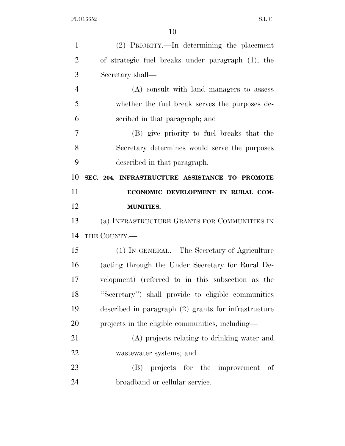| $\mathbf{1}$   | (2) PRIORITY.—In determining the placement             |
|----------------|--------------------------------------------------------|
| $\overline{2}$ | of strategic fuel breaks under paragraph (1), the      |
| 3              | Secretary shall—                                       |
| $\overline{4}$ | (A) consult with land managers to assess               |
| 5              | whether the fuel break serves the purposes de-         |
| 6              | scribed in that paragraph; and                         |
| 7              | (B) give priority to fuel breaks that the              |
| 8              | Secretary determines would serve the purposes          |
| 9              | described in that paragraph.                           |
| 10             | SEC. 204. INFRASTRUCTURE ASSISTANCE TO PROMOTE         |
| 11             | ECONOMIC DEVELOPMENT IN RURAL COM-                     |
| 12             | <b>MUNITIES.</b>                                       |
|                |                                                        |
| 13             | (a) INFRASTRUCTURE GRANTS FOR COMMUNITIES IN           |
| 14             | THE COUNTY.                                            |
| 15             | (1) IN GENERAL.—The Secretary of Agriculture           |
| 16             | (acting through the Under Secretary for Rural De-      |
| 17             | velopment) (referred to in this subsection as the      |
| 18             | "Secretary") shall provide to eligible communities     |
| 19             | described in paragraph $(2)$ grants for infrastructure |
| 20             | projects in the eligible communities, including—       |
| 21             | (A) projects relating to drinking water and            |
| 22             | wastewater systems; and                                |
| 23             | projects for the improvement<br>(B)<br>οf              |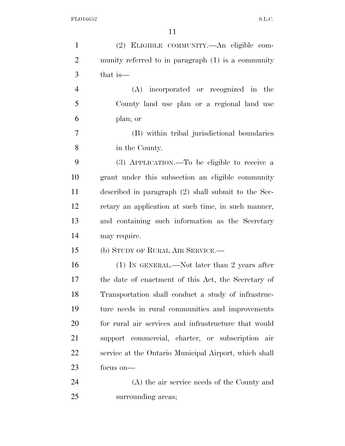| $\mathbf{1}$   | (2) ELIGIBLE COMMUNITY.—An eligible com-              |
|----------------|-------------------------------------------------------|
| $\overline{2}$ | munity referred to in paragraph (1) is a community    |
| 3              | that is—                                              |
| $\overline{4}$ | (A) incorporated or recognized in the                 |
| 5              | County land use plan or a regional land use           |
| 6              | plan; or                                              |
| 7              | (B) within tribal jurisdictional boundaries           |
| 8              | in the County.                                        |
| 9              | (3) APPLICATION.—To be eligible to receive a          |
| 10             | grant under this subsection an eligible community     |
| 11             | described in paragraph (2) shall submit to the Sec-   |
| 12             | retary an application at such time, in such manner,   |
| 13             | and containing such information as the Secretary      |
| 14             | may require.                                          |
| 15             | (b) STUDY OF RURAL AIR SERVICE.—                      |
| 16             | $(1)$ IN GENERAL.—Not later than 2 years after        |
| 17             | the date of enactment of this Act, the Secretary of   |
| 18             | Transportation shall conduct a study of infrastruc-   |
| 19             | ture needs in rural communities and improvements      |
| 20             | for rural air services and infrastructure that would  |
| 21             | support commercial, charter, or subscription air      |
| 22             | service at the Ontario Municipal Airport, which shall |
| 23             | focus on-                                             |
| 24             | (A) the air service needs of the County and           |
| 25             | surrounding areas;                                    |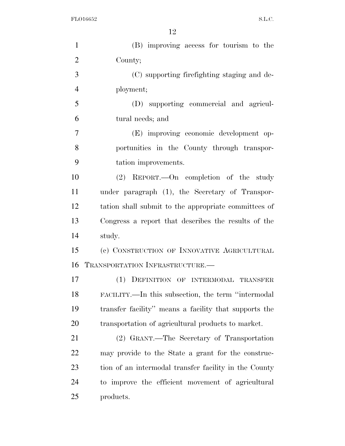| $\mathbf{1}$   | (B) improving access for tourism to the               |
|----------------|-------------------------------------------------------|
| $\overline{2}$ | County;                                               |
| 3              | (C) supporting firefighting staging and de-           |
| $\overline{4}$ | ployment;                                             |
| 5              | (D) supporting commercial and agricul-                |
| 6              | tural needs; and                                      |
| 7              | (E) improving economic development op-                |
| 8              | portunities in the County through transpor-           |
| 9              | tation improvements.                                  |
| 10             | (2) REPORT. - On completion of the study              |
| 11             | under paragraph (1), the Secretary of Transpor-       |
| 12             | tation shall submit to the appropriate committees of  |
| 13             | Congress a report that describes the results of the   |
| 14             | study.                                                |
| 15             | (c) CONSTRUCTION OF INNOVATIVE AGRICULTURAL           |
| 16             | TRANSPORTATION INFRASTRUCTURE.                        |
| 17             | (1) DEFINITION OF INTERMODAL TRANSFER                 |
| 18             | FACILITY.—In this subsection, the term "intermodal"   |
| 19             | transfer facility" means a facility that supports the |
| 20             | transportation of agricultural products to market.    |
| 21             | (2) GRANT.—The Secretary of Transportation            |
| 22             | may provide to the State a grant for the construc-    |
| 23             | tion of an intermodal transfer facility in the County |
| 24             | to improve the efficient movement of agricultural     |
| 25             | products.                                             |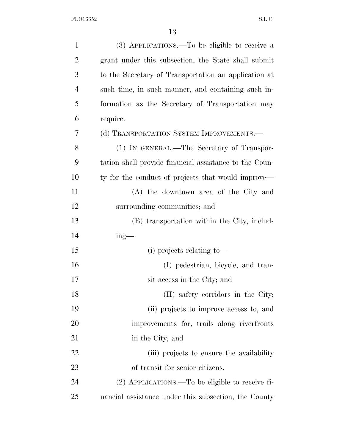| $\mathbf{1}$   | (3) APPLICATIONS.—To be eligible to receive a          |
|----------------|--------------------------------------------------------|
| $\overline{2}$ | grant under this subsection, the State shall submit    |
| 3              | to the Secretary of Transportation an application at   |
| $\overline{4}$ | such time, in such manner, and containing such in-     |
| 5              | formation as the Secretary of Transportation may       |
| 6              | require.                                               |
| 7              | (d) TRANSPORTATION SYSTEM IMPROVEMENTS.—               |
| 8              | (1) IN GENERAL.—The Secretary of Transpor-             |
| 9              | tation shall provide financial assistance to the Coun- |
| 10             | ty for the conduct of projects that would improve—     |
| 11             | (A) the downtown area of the City and                  |
| 12             | surrounding communities; and                           |
| 13             | (B) transportation within the City, includ-            |
| 14             | $ing$ —                                                |
| 15             | $(i)$ projects relating to $-$                         |
| 16             | (I) pedestrian, bicycle, and tran-                     |
| 17             | sit access in the City; and                            |
| 18             | (II) safety corridors in the City;                     |
| 19             | (ii) projects to improve access to, and                |
| 20             | improvements for, trails along riverfronts             |
| 21             | in the City; and                                       |
| 22             | (iii) projects to ensure the availability              |
| 23             | of transit for senior citizens.                        |
| 24             | $(2)$ APPLICATIONS.—To be eligible to receive fi-      |
| 25             | nancial assistance under this subsection, the County   |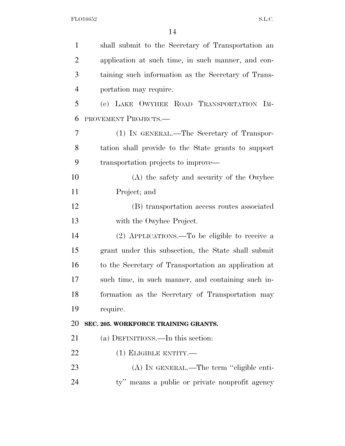| $\mathbf{1}$   | shall submit to the Secretary of Transportation an   |
|----------------|------------------------------------------------------|
| $\overline{2}$ | application at such time, in such manner, and con-   |
| 3              | taining such information as the Secretary of Trans-  |
| $\overline{4}$ | portation may require.                               |
| 5              | (e) LAKE OWYHEE ROAD TRANSPORTATION IM-              |
| 6              | PROVEMENT PROJECTS.-                                 |
| 7              | (1) IN GENERAL.—The Secretary of Transpor-           |
| 8              | tation shall provide to the State grants to support  |
| 9              | transportation projects to improve—                  |
| 10             | (A) the safety and security of the Owyhee            |
| 11             | Project; and                                         |
| 12             | (B) transportation access routes associated          |
| 13             | with the Owyhee Project.                             |
| 14             | (2) APPLICATIONS.—To be eligible to receive a        |
| 15             | grant under this subsection, the State shall submit  |
| 16             | to the Secretary of Transportation an application at |
| 17             | such time, in such manner, and containing such in-   |
| 18             | formation as the Secretary of Transportation may     |
| 19             | require.                                             |
| 20             | SEC. 205. WORKFORCE TRAINING GRANTS.                 |
| 21             | (a) DEFINITIONS.—In this section:                    |
| 22             | $(1)$ ELIGIBLE ENTITY.—                              |
| 23             | (A) IN GENERAL.—The term "eligible enti-             |
| 24             | ty" means a public or private nonprofit agency       |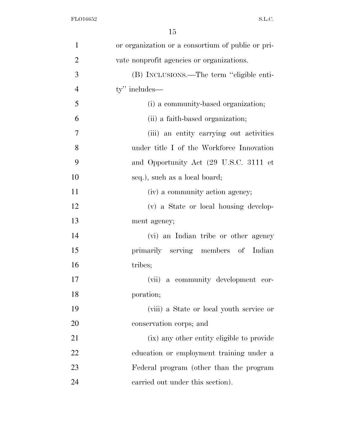| $\mathbf{1}$   | or organization or a consortium of public or pri- |
|----------------|---------------------------------------------------|
| $\overline{2}$ | vate nonprofit agencies or organizations.         |
| 3              | (B) INCLUSIONS.—The term "eligible enti-          |
| $\overline{4}$ | ty" includes—                                     |
| 5              | (i) a community-based organization;               |
| 6              | (ii) a faith-based organization;                  |
| 7              | (iii) an entity carrying out activities           |
| 8              | under title I of the Workforce Innovation         |
| 9              | and Opportunity Act (29 U.S.C. 3111 et            |
| 10             | seq.), such as a local board;                     |
| 11             | (iv) a community action agency;                   |
| 12             | (v) a State or local housing develop-             |
| 13             | ment agency;                                      |
| 14             | (vi) an Indian tribe or other agency              |
| 15             | primarily serving members of Indian               |
| 16             | tribes;                                           |
| 17             | a community development cor-<br>(vii)             |
| 18             | poration;                                         |
| 19             | (viii) a State or local youth service or          |
| 20             | conservation corps; and                           |
| 21             | (ix) any other entity eligible to provide         |
| 22             | education or employment training under a          |
| 23             | Federal program (other than the program           |
| 24             | carried out under this section).                  |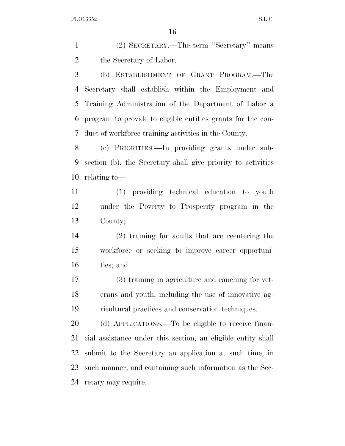(2) SECRETARY.—The term ''Secretary'' means the Secretary of Labor.

 (b) ESTABLISHMENT OF GRANT PROGRAM.—The Secretary shall establish within the Employment and Training Administration of the Department of Labor a program to provide to eligible entities grants for the con-duct of workforce training activities in the County.

 (c) PRIORITIES.—In providing grants under sub- section (b), the Secretary shall give priority to activities relating to—

 (1) providing technical education to youth under the Poverty to Prosperity program in the County;

 (2) training for adults that are reentering the workforce or seeking to improve career opportuni-ties; and

 (3) training in agriculture and ranching for vet- erans and youth, including the use of innovative ag-ricultural practices and conservation techniques.

 (d) APPLICATIONS.—To be eligible to receive finan- cial assistance under this section, an eligible entity shall submit to the Secretary an application at such time, in such manner, and containing such information as the Sec-retary may require.